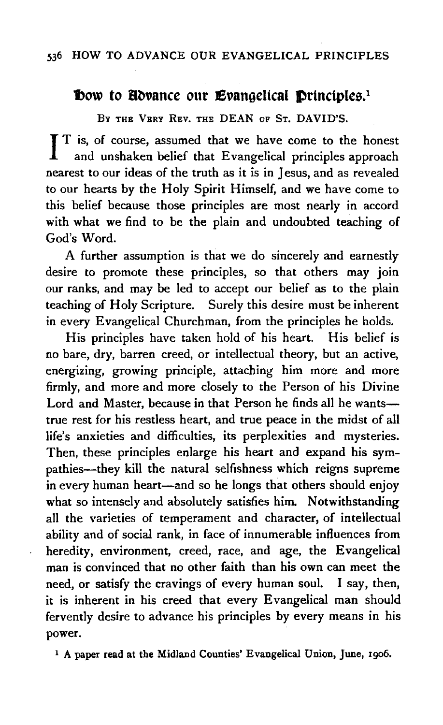# Dow to Hovance our Evangelical Drinciples.<sup>1</sup>

BY THE VERY REV. THE DEAN OF ST. DAVID'S.

 $\prod_{n=1}^{n}$  is, of course, assumed that we have come to the honest and unshaken belief that Evangelical principles approach nearest to our ideas of the truth as it is in Jesus, and as revealed to our hearts by the Holy Spirit Himself, and we have come to this belief because those principles are most nearly in accord with what we find to be the plain and undoubted teaching of God's Word.

A further assumption is that we do sincerely and earnestly desire to promote these principles, so that others may join our ranks, and may be led to accept our belief as to the plain teaching of Holy Scripture. Surely this desire must be inherent in every Evangelical Churchman, from the principles he holds.

His principles have taken hold of his heart. His belief is no bare, dry, barren creed, or intellectual theory, but an active, energizing, growing principle, attaching him more and more firmly, and more and more closely to the Person of his Divine Lord and Master, because in that Person he finds all he wantstrue rest for his restless heart, and true peace in the midst of all life's anxieties and difficulties, its perplexities and mysteries. Then, these principles enlarge his heart and expand his sympathies-they kill the natural selfishness which reigns supreme in every human heart—and so he longs that others should enjoy what so intensely and absolutely satisfies him. Notwithstanding all the varieties of temperament and character, of intellectual ability and of social rank, in face of innumerable influences from heredity, environment, creed, race, and age, the Evangelical man is convinced that no other faith than his own can meet the need, or satisfy the cravings of every human soul. I say, then, it is inherent in his creed that every Evangelical man should fervently desire to advance his principles by every means in his power.

<sup>1</sup> A paper read at the Midland Counties' Evangelical Union, June, 1906.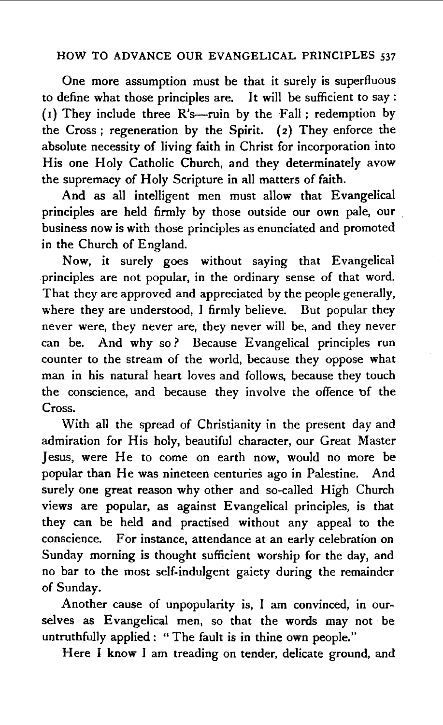One more assumption must be that it surely is superfluous to define what those principles are. It will be sufficient to say : (1) They include three  $R's$ -ruin by the Fall ; redemption by the Cross; regeneration by the Spirit. (2) They enforce the absolute necessity of living faith in Christ for incorporation into His one Holy Catholic Church, and they determinately avow the supremacy of Holy Scripture in all matters of faith.

And as all intelligent men must allow that Evangelical principles are held firmly by those outside our own pale, our business now is with those principles as enunciated and promoted in the Church of England.

Now, it surely goes without saying that Evangelical principles are not popular, in the ordinary sense of that word. That they are approved and appreciated by the people generally, where they are understood, I firmly believe. But popular they never were, they never are, they never will be, and they never can be. And why so ? Because Evangelical principles run counter to the stream of the world, because they oppose what man in his natural heart loves and follows, because they touch the conscience, and because they involve the offence of the Cross.

With all the spread of Christianity in the present day and admiration for His holy, beautiful character, our Great Master Jesus, were He to come on earth now, would no more be popular than He was nineteen centuries ago in Palestine. And surely one great reason why other and so-called High Church views are popular, as against Evangelical principles, is that they can be held and practised without any appeal to the conscience. For instance, attendance at an early celebration on Sunday morning is thought sufficient worship for the day, and no bar to the most self-indulgent gaiety during the remainder of Sunday.

Another cause of unpopularity is, I am convinced, in ourselves as Evangelical men, so that the words may not be untruthfully applied: "The fault is in thine own people."

Here I know I am treading on tender, delicate ground, and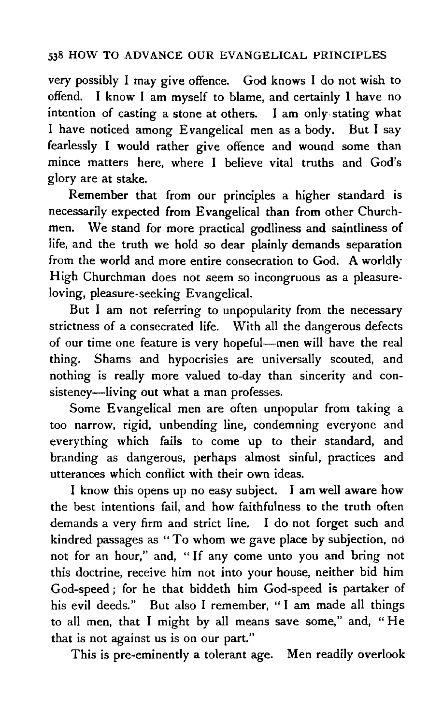very possibly I may give offence. God knows I do not wish to offend. I know I am myself to blame, and certainly I have no intention of casting a stone at others. I am only.stating what I have noticed among Evangelical men as a body. But I say fearlessly I would rather give offence and wound some than mince matters here, where I believe vital truths and God's glory are at stake.

Remember that from our principles a higher standard is necessarily expected from Evangelical than from other Churchmen. We stand for more practical godliness and saintliness of life, and the truth we hold so dear plainly demands separation from the world and more entire consecration to God. A worldly High Churchman does not seem so incongruous as a pleasureloving, pleasure-seeking Evangelical.

But I am not referring to unpopularity from the necessary strictness of a consecrated life. With all the dangerous defects of our time one feature is very hopeful-men will have the real thing. Shams and hypocrisies are universally scouted, and nothing is really more valued to-day than sincerity and consistency-living out what a man professes.

Some Evangelical men are often unpopular from taking a too narrow, rigid, unbending line, condemning everyone and everything which fails to come up to their standard, and branding as dangerous, perhaps almost sinful, practices and utterances which conflict with their own ideas.

I know this opens up no easy subject. I am well aware how the best intentions fail, and how faithfulness to the truth often demands a very firm and strict line. I do not forget such and kindred passages as "To whom we gave place by subjection, no not for an hour," and, "If any come unto you and bring not this doctrine, receive him not into your house, neither bid him God-speed ; for he that biddeth him God-speed is partaker of his evil deeds." But also I remember, "I am made all things to all men, that I might by all means save some," and, "He that is not against us is on our part."

This is pre-eminently a tolerant age. Men readily overlook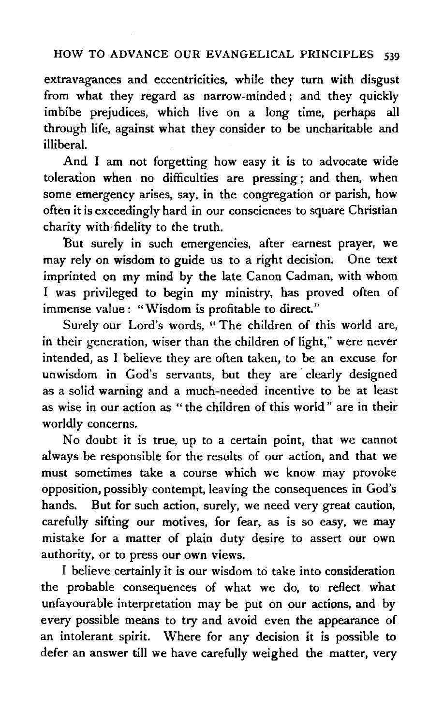extravagances and eccentricities, while they turn with disgust from what they regard as narrow-minded ; and they quickly imbibe prejudices, which live on a long time, perhaps all through life, against what they consider to be uncharitable and illiberal.

And I am not forgetting how easy it is to advocate wide toleration when no difficulties are pressing ; and then, when some emergency arises, say, in the congregation or parish, how often it is exceedingly hard in our consciences to square Christian charity with fidelity to the truth.

But surely in such emergencies, after earnest prayer, we may rely on wisdom to guide us to a right decision. One text imprinted on my mind by the late Canon Cadman, with whom I was privileged to begin my ministry, has proved often of immense value : "Wisdom is profitable to direct."

Surely our Lord's words, " The children of this world are, in their generation, wiser than the children of light," were never intended, as I believe they are often taken, to be an excuse for unwisdom in God's servants, but they are' clearly designed as a solid warning and a much-needed incentive to be at least as wise in our action as " the children of this world " are in their worldly concerns.

No doubt it is true, up to a certain point, that we cannot always be responsible for the results of our action, and that we must sometimes take a course which we know may provoke opposition, possibly contempt, leaving the consequences in God's hands. But for such action, surely, we need very great caution, carefully sifting our motives, for fear, as is so easy, we may mistake for a matter of plain duty desire to assert our own authority, or to press our own views.

I believe certainly it is our wisdom to take into consideration the probable consequences of what we do, to reflect what unfavourable interpretation may be put on our actions, and by every possible means to try and avoid even the appearance of an intolerant spirit. Where for any decision it is possible to defer an answer till we have carefully weighed the matter, very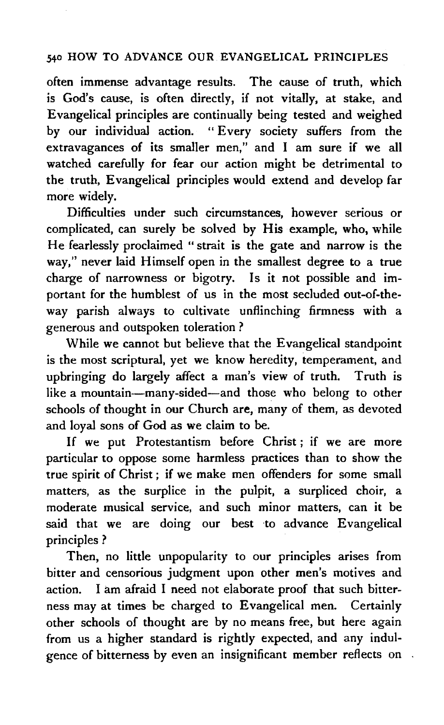often immense advantage results. The cause of truth, which is God's cause, is often directly, if not vitally, at stake, and Evangelical principles are continually being tested and weighed by our individual action. " Every society suffers from the extravagances of its smaller men," and I am sure if we all watched carefully for fear our action might be detrimental to the truth, Evangelical principles would extend and develop far more widely.

Difficulties under such circumstances, however serious or complicated, can surely be solved by His example, who, while He fearlessly proclaimed "strait is the gate and narrow is the way," never laid Himself open in the smallest degree to a true charge of narrowness or bigotry. Is it not possible and important for the humblest of us in the most secluded out-of-the· way parish always to cultivate unflinching firmness with a generous and outspoken toleration ?

While we cannot but believe that the Evangelical standpoint is the most scriptural, yet we know heredity, temperament, and upbringing do largely affect a man's view of truth. Truth is like a mountain-many-sided-and those who belong to other schools of thought in our Church are, many of them, as devoted and loyal sons of God as we claim to be.

If we put Protestantism before Christ ; if we are more particular to oppose some harmless practices than to show the true spirit of Christ ; if we make men offenders for some small matters, as the surplice in the pulpit, a surpliced choir, a moderate musical service, and such minor matters, can it be said that we are doing our best to advance Evangelical principles ?

Then, no little unpopularity to our principles arises from bitter and censorious judgment upon other men's motives and action. I am afraid I need not elaborate proof that such bitterness may at times be charged to Evangelical men. Certainly other schools of thought are by no means free, but here again from us a higher standard is rightly expected, and any indulgence of bitterness by even an insignificant member reflects on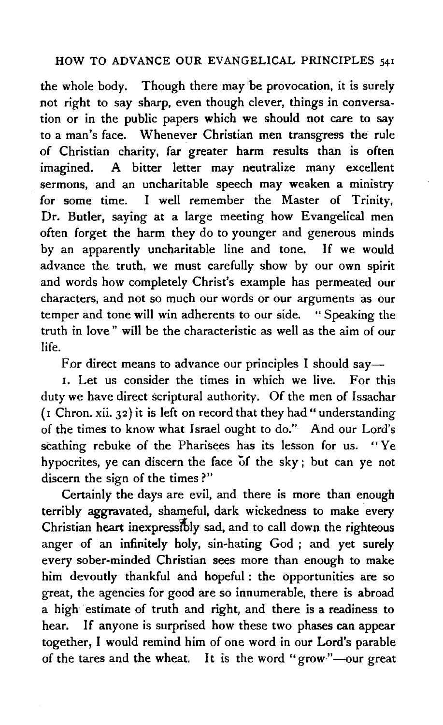the whole body. Though there may be provocation, it is surely not right to say sharp, even though clever, things in conversation or in the public papers which we should not care to say to a man's face. Whenever Christian men transgress the rule of Christian charity, far greater harm results than is often imagined. A bitter letter may neutralize many excellent sermons, and an uncharitable speech may weaken a ministry for some time. I well remember the Master of Trinity, Dr. Butler, saying at a large meeting how Evangelical men often forget the harm they do to younger and generous minds by an apparently uncharitable line and tone. If we would advance the truth, we must carefully show by our own spirit and words how completely Christ's example has permeated our characters, and not so much our words or our arguments as our temper and tone will win adherents to our side. " Speaking the truth in love" will be the characteristic as well as the aim of our life.

For direct means to advance our principles I should say—

1. Let us consider the times in which we live. For this duty we have direct scriptural authority. Of the men of Issachar ( $\mathbf i$  Chron. xii. 32) it is left on record that they had "understanding of the times to know what Israel ought to do." And our Lord's scathing rebuke of the Pharisees has its lesson for us. "Ye hypocrites, ye can discern the face of the sky; but can ye not discern the sign of the times?"

Certainly the days are evil, and there is more than enough terribly aggravated, shameful, dark wickedness to make every Christian heart inexpressibly sad, and to call down the righteous anger of an infinitely holy, sin-hating God ; and yet surely every sober-minded Christian sees more than enough to make him devoutly thankful and hopeful : the opportunities are so great, the agencies for good are so innumerable, there is abroad a high estimate of truth and right, and there is a readiness to hear. If anyone is surprised how these two phases can appear together, I would remind him of one word in our Lord's parable of the tares and the wheat. It is the word "grow"—our great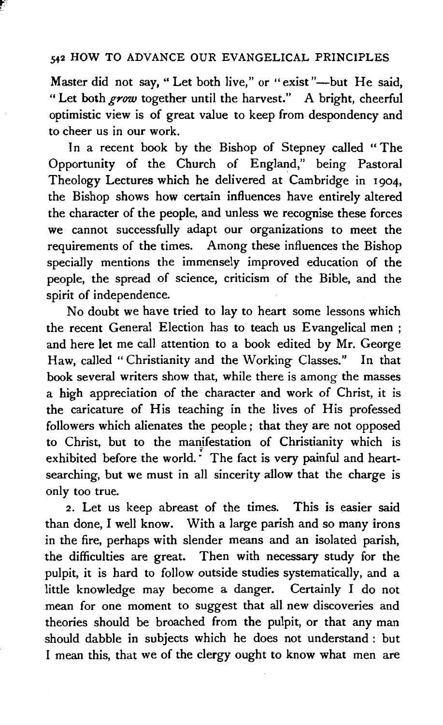Master did not say, "Let both live," or "exist"-but He said. "Let both *grow* together until the harvest." A bright, cheerful optimistic view is of great value to keep from despondency and to cheer us in our work.

In a recent book by the Bishop of Stepney called "The Opportunity of the Church of England," being Pastoral Theology Lectures which he delivered at Cambridge in 1904, the Bishop shows how certain influences have entirely altered the character of the people, and unless we recognise these forces we cannot successfully adapt our organizations to meet the requirements of the times. Among these influences the Bishop specially mentions the immensely improved education of the people, the spread of science, criticism of the Bible, and the spirit of independence.

No doubt we have tried to lay to heart some lessons which the recent General Election has to teach us Evangelical men ; and here let me call attention to a book edited by Mr. George Haw, called "Christianity and the Working Classes.'' In that book several writers show that, while there is among the masses a high appreciation of the character and work of Christ, it is the caricature of His teaching in the lives of His professed followers which alienates the people ; that they are not opposed to Christ, but to the manjfestation of Christianity which is exhibited before the world.<sup>*:*</sup> The fact is very painful and heartsearching, but we must in all sincerity allow that the charge is only too true.

*2.* Let us keep abreast of the times. This is easier said than done, I well know. With a large parish and so many irons in the fire, perhaps with slender means and an isolated parish, the difficulties are great. Then with necessary study for the pulpit, it is hard to follow outside studies systematically, and a little knowledge may become a danger. Certainly I do not mean for one moment to suggest that all new discoveries and theories should be broached from the pulpit, or that any man should dabble in subjects which he does not understand : but I mean this, that we of the clergy ought to know what men are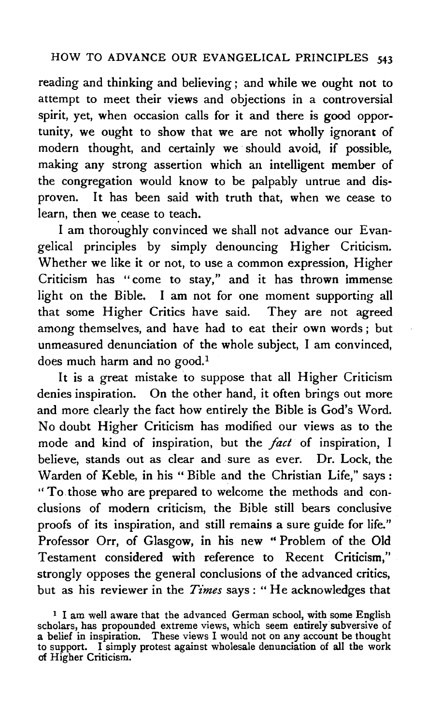reading and thinking and believing; and while we ought not to attempt to meet their views and objections in a controversial spirit, yet, when occasion calls for it and there is good opportunity, we ought to show that we are not wholly ignorant of modern thought, and certainly we should avoid, if possible, making any strong assertion which an intelligent member of the congregation would know to be palpably untrue and disproven. It has been said with truth that, when we cease to learn, then we. cease to teach.

I am thoroughly convinced we shall not advance our Evangelical principles by simply denouncing Higher Criticism. Whether we like it or not, to use a common expression, Higher Criticism has "come to stay," and it has thrown immense light on the Bible. I am not for one moment supporting all that some Higher Critics have said. They are not agreed among themselves, and have had to eat their own words ; but unmeasured denunciation of the whole subject, I am convinced, does much harm and no good.<sup>1</sup>

It is a great mistake to suppose that all Higher Criticism denies inspiration. On the other hand, it often brings out more and more clearly the fact how entirely the Bible is God's Word. No doubt Higher Criticism has modified our views as to the mode and kind of inspiration, but the *fact* of inspiration, I believe, stands out as clear and sure as ever. Dr. Lock, the Warden of Keble, in his "Bible and the Christian Life," says: "To those who are prepared to welcome the methods and conclusions of modern criticism, the Bible still bears conclusive proofs of its inspiration, and still remains a sure guide for life." Professor Orr, of Glasgow, in his new " Problem of the Old Testament considered with reference to Recent Criticism," strongly opposes the general conclusions of the advanced critics, but as his reviewer in the *Times* says: "He acknowledges that

<sup>&</sup>lt;sup>1</sup> I am well aware that the advanced German school, with some English scholars, has propounded extreme views, which seem entirely subversive of a belief in inspiration. These views I would not on any account be thought to support. I simply protest against wholesale denunciation of all the work of Higher Criticism.